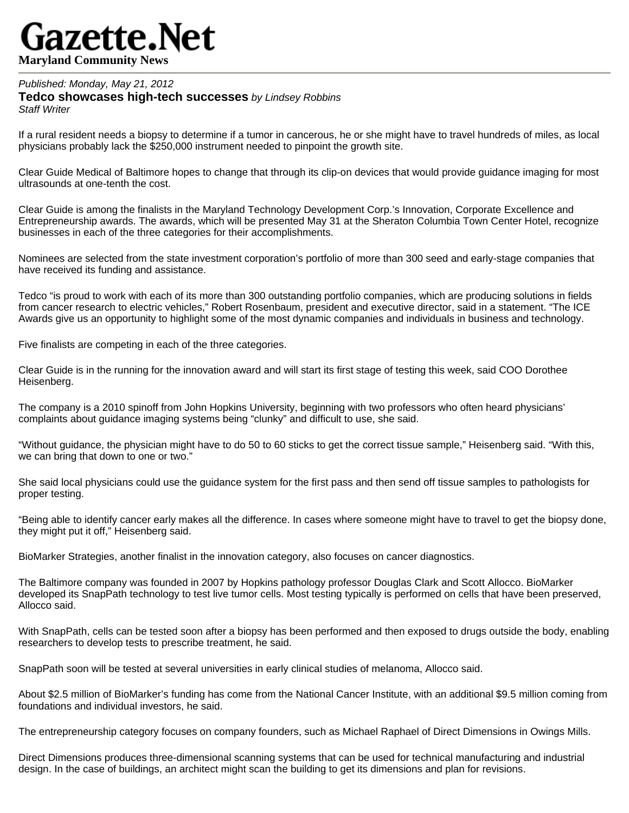## ı**zette.Net Maryland Community News**

*Published: Monday, May 21, 2012* **Tedco showcases high-tech successes** *by Lindsey Robbins Staff Writer*

If a rural resident needs a biopsy to determine if a tumor in cancerous, he or she might have to travel hundreds of miles, as local physicians probably lack the \$250,000 instrument needed to pinpoint the growth site.

Clear Guide Medical of Baltimore hopes to change that through its clip-on devices that would provide guidance imaging for most ultrasounds at one-tenth the cost.

Clear Guide is among the finalists in the Maryland Technology Development Corp.'s Innovation, Corporate Excellence and Entrepreneurship awards. The awards, which will be presented May 31 at the Sheraton Columbia Town Center Hotel, recognize businesses in each of the three categories for their accomplishments.

Nominees are selected from the state investment corporation's portfolio of more than 300 seed and early-stage companies that have received its funding and assistance.

Tedco "is proud to work with each of its more than 300 outstanding portfolio companies, which are producing solutions in fields from cancer research to electric vehicles," Robert Rosenbaum, president and executive director, said in a statement. "The ICE Awards give us an opportunity to highlight some of the most dynamic companies and individuals in business and technology.

Five finalists are competing in each of the three categories.

Clear Guide is in the running for the innovation award and will start its first stage of testing this week, said COO Dorothee Heisenberg.

The company is a 2010 spinoff from John Hopkins University, beginning with two professors who often heard physicians' complaints about guidance imaging systems being "clunky" and difficult to use, she said.

"Without guidance, the physician might have to do 50 to 60 sticks to get the correct tissue sample," Heisenberg said. "With this, we can bring that down to one or two."

She said local physicians could use the guidance system for the first pass and then send off tissue samples to pathologists for proper testing.

"Being able to identify cancer early makes all the difference. In cases where someone might have to travel to get the biopsy done, they might put it off," Heisenberg said.

BioMarker Strategies, another finalist in the innovation category, also focuses on cancer diagnostics.

The Baltimore company was founded in 2007 by Hopkins pathology professor Douglas Clark and Scott Allocco. BioMarker developed its SnapPath technology to test live tumor cells. Most testing typically is performed on cells that have been preserved, Allocco said.

With SnapPath, cells can be tested soon after a biopsy has been performed and then exposed to drugs outside the body, enabling researchers to develop tests to prescribe treatment, he said.

SnapPath soon will be tested at several universities in early clinical studies of melanoma, Allocco said.

About \$2.5 million of BioMarker's funding has come from the National Cancer Institute, with an additional \$9.5 million coming from foundations and individual investors, he said.

The entrepreneurship category focuses on company founders, such as Michael Raphael of Direct Dimensions in Owings Mills.

Direct Dimensions produces three-dimensional scanning systems that can be used for technical manufacturing and industrial design. In the case of buildings, an architect might scan the building to get its dimensions and plan for revisions.